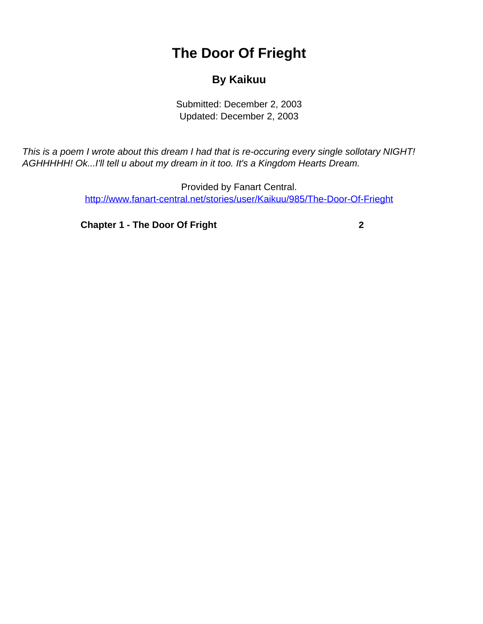## **The Door Of Frieght**

## **By Kaikuu**

Submitted: December 2, 2003 Updated: December 2, 2003

<span id="page-0-0"></span>This is a poem I wrote about this dream I had that is re-occuring every single sollotary NIGHT! AGHHHHH! Ok...I'll tell u about my dream in it too. It's a Kingdom Hearts Dream.

> Provided by Fanart Central. [http://www.fanart-central.net/stories/user/Kaikuu/985/The-Door-Of-Frieght](#page-0-0)

**[Chapter 1 - The Door Of Fright](#page-1-0)** [2](#page-1-0)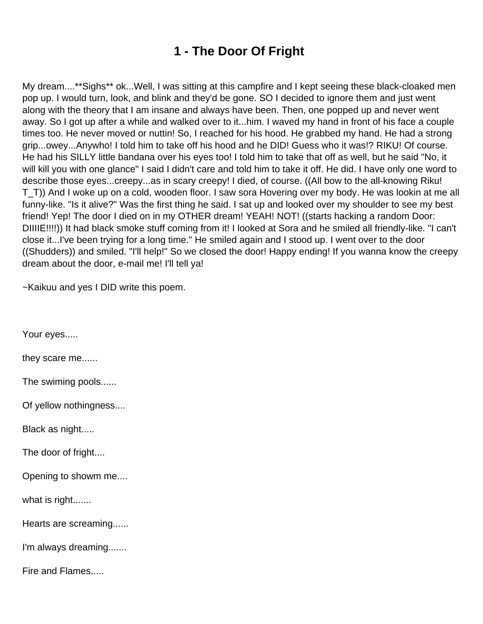## **1 - The Door Of Fright**

<span id="page-1-0"></span>My dream....\*\*Sighs\*\* ok...Well, I was sitting at this campfire and I kept seeing these black-cloaked men pop up. I would turn, look, and blink and they'd be gone. SO I decided to ignore them and just went along with the theory that I am insane and always have been. Then, one popped up and never went away. So I got up after a while and walked over to it...him. I waved my hand in front of his face a couple times too. He never moved or nuttin! So, I reached for his hood. He grabbed my hand. He had a strong grip...owey...Anywho! I told him to take off his hood and he DID! Guess who it was!? RIKU! Of course. He had his SILLY little bandana over his eyes too! I told him to take that off as well, but he said "No, it will kill you with one glance" I said I didn't care and told him to take it off. He did. I have only one word to describe those eyes...creepy...as in scary creepy! I died, of course. ((All bow to the all-knowing Riku! T\_T)) And I woke up on a cold, wooden floor. I saw sora Hovering over my body. He was lookin at me all funny-like. "Is it alive?" Was the first thing he said. I sat up and looked over my shoulder to see my best friend! Yep! The door I died on in my OTHER dream! YEAH! NOT! ((starts hacking a random Door: DIIIIE!!!!)) It had black smoke stuff coming from it! I looked at Sora and he smiled all friendly-like. "I can't close it...I've been trying for a long time." He smiled again and I stood up. I went over to the door ((Shudders)) and smiled. "I'll help!" So we closed the door! Happy ending! If you wanna know the creepy dream about the door, e-mail me! I'll tell ya!

~Kaikuu and yes I DID write this poem.

Your eyes.....

they scare me......

The swiming pools......

Of yellow nothingness....

Black as night.....

The door of fright....

Opening to showm me....

what is right.......

Hearts are screaming......

I'm always dreaming.......

Fire and Flames.....